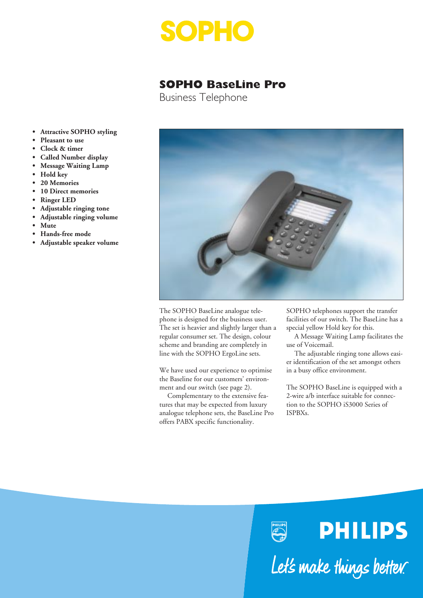

# **SOPHO BaseLine Pro**

Business Telephone

- **Attractive SOPHO styling**
- **Pleasant to use**
- **Clock & timer**
- **Called Number display**
- **Message Waiting Lamp**
- **Hold key**
- **20 Memories**
- **10 Direct memories**
- **Ringer LED**
- **Adjustable ringing tone**
- **Adjustable ringing volume**
- **Mute**
- **Hands-free mode**
- **Adjustable speaker volume**



The SOPHO BaseLine analogue telephone is designed for the business user. The set is heavier and slightly larger than a regular consumer set. The design, colour scheme and branding are completely in line with the SOPHO ErgoLine sets.

We have used our experience to optimise the Baseline for our customers' environment and our switch (see page 2).

Complementary to the extensive features that may be expected from luxury analogue telephone sets, the BaseLine Pro offers PABX specific functionality.

SOPHO telephones support the transfer facilities of our switch. The BaseLine has a special yellow Hold key for this.

A Message Waiting Lamp facilitates the use of Voicemail.

The adjustable ringing tone allows easier identification of the set amongst others in a busy office environment.

The SOPHO BaseLine is equipped with a 2-wire a/b interface suitable for connection to the SOPHO iS3000 Series of ISPBXs.

Let's make things better.

**PHILIPS**